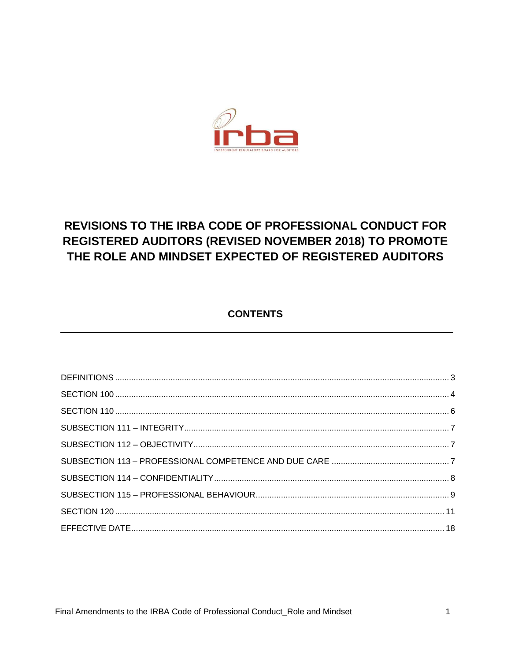

# **REVISIONS TO THE IRBA CODE OF PROFESSIONAL CONDUCT FOR** REGISTERED AUDITORS (REVISED NOVEMBER 2018) TO PROMOTE THE ROLE AND MINDSET EXPECTED OF REGISTERED AUDITORS

# **CONTENTS**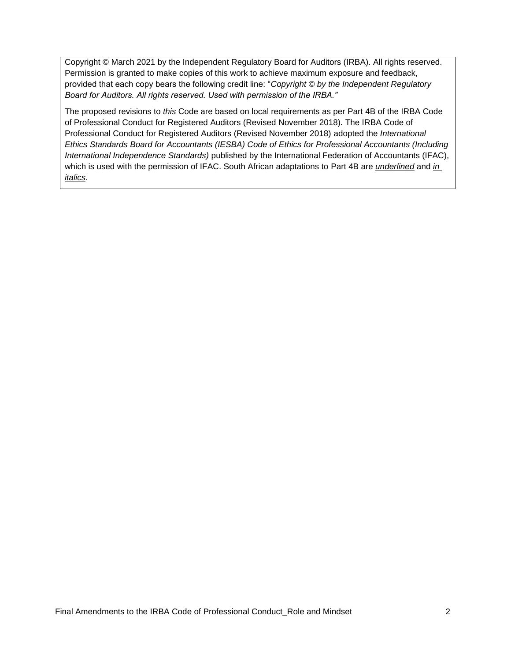Copyright © March 2021 by the Independent Regulatory Board for Auditors (IRBA). All rights reserved. Permission is granted to make copies of this work to achieve maximum exposure and feedback, provided that each copy bears the following credit line: "*Copyright © by the Independent Regulatory Board for Auditors. All rights reserved. Used with permission of the IRBA."* 

The proposed revisions to *this* Code are based on local requirements as per Part 4B of the IRBA Code of Professional Conduct for Registered Auditors (Revised November 2018)*.* The IRBA Code of Professional Conduct for Registered Auditors (Revised November 2018) adopted the *International Ethics Standards Board for Accountants (IESBA) Code of Ethics for Professional Accountants (Including International Independence Standards)* published by the International Federation of Accountants (IFAC), which is used with the permission of IFAC. South African adaptations to Part 4B are *underlined* and *in italics*.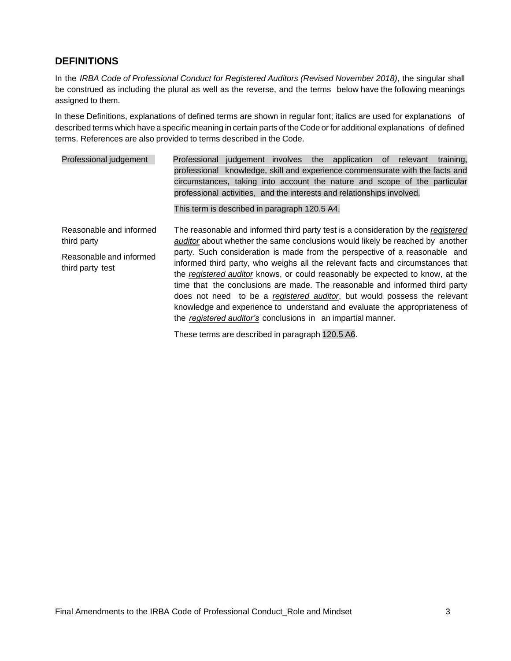# **DEFINITIONS**

In the *IRBA Code of Professional Conduct for Registered Auditors (Revised November 2018)*, the singular shall be construed as including the plural as well as the reverse, and the terms below have the following meanings assigned to them.

In these Definitions, explanations of defined terms are shown in regular font; italics are used for explanations of described terms which have a specific meaning in certain parts of the Code or for additional explanations of defined terms. References are also provided to terms described in the Code.

| Professional judgement                      | Professional judgement involves the application of relevant<br>training,                                                                                                                                                                                                                                                                                                                                                                                                                                                                               |
|---------------------------------------------|--------------------------------------------------------------------------------------------------------------------------------------------------------------------------------------------------------------------------------------------------------------------------------------------------------------------------------------------------------------------------------------------------------------------------------------------------------------------------------------------------------------------------------------------------------|
|                                             | professional knowledge, skill and experience commensurate with the facts and                                                                                                                                                                                                                                                                                                                                                                                                                                                                           |
|                                             | circumstances, taking into account the nature and scope of the particular                                                                                                                                                                                                                                                                                                                                                                                                                                                                              |
|                                             | professional activities, and the interests and relationships involved.                                                                                                                                                                                                                                                                                                                                                                                                                                                                                 |
|                                             | This term is described in paragraph 120.5 A4.                                                                                                                                                                                                                                                                                                                                                                                                                                                                                                          |
| Reasonable and informed<br>third party      | The reasonable and informed third party test is a consideration by the registered<br>auditor about whether the same conclusions would likely be reached by another                                                                                                                                                                                                                                                                                                                                                                                     |
| Reasonable and informed<br>third party test | party. Such consideration is made from the perspective of a reasonable and<br>informed third party, who weighs all the relevant facts and circumstances that<br>the registered auditor knows, or could reasonably be expected to know, at the<br>time that the conclusions are made. The reasonable and informed third party<br>does not need to be a registered auditor, but would possess the relevant<br>knowledge and experience to understand and evaluate the appropriateness of<br>the registered auditor's conclusions in an impartial manner. |
|                                             |                                                                                                                                                                                                                                                                                                                                                                                                                                                                                                                                                        |

These terms are described in paragraph 120.5 A6.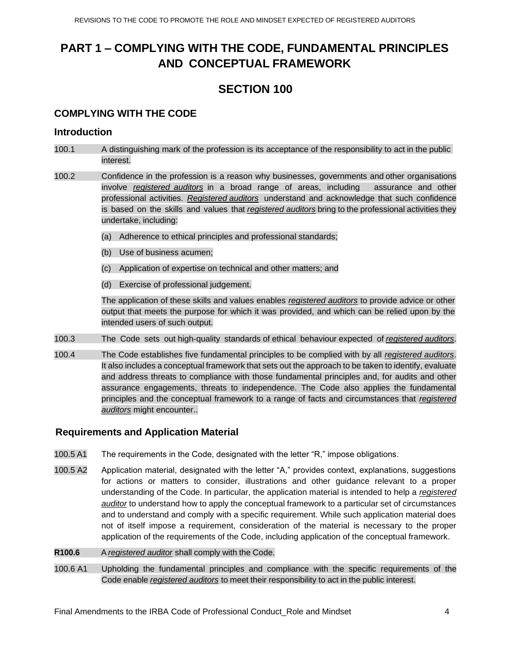# **PART 1 – COMPLYING WITH THE CODE, FUNDAMENTAL PRINCIPLES AND CONCEPTUAL FRAMEWORK**

# **SECTION 100**

## **COMPLYING WITH THE CODE**

### **Introduction**

- 100.1 A distinguishing mark of the profession is its acceptance of the responsibility to act in the public interest.
- 100.2 Confidence in the profession is a reason why businesses, governments and other organisations involve *registered auditors* in a broad range of areas, including assurance and other professional activities. *Registered auditors* understand and acknowledge that such confidence is based on the skills and values that *registered auditors* bring to the professional activities they undertake, including:
	- (a) Adherence to ethical principles and professional standards;
	- (b) Use of business acumen;
	- (c) Application of expertise on technical and other matters; and
	- (d) Exercise of professional judgement.

The application of these skills and values enables *registered auditors* to provide advice or other output that meets the purpose for which it was provided, and which can be relied upon by the intended users of such output*.*

- 100.3 The Code sets out high-quality standards of ethical behaviour expected of *registered auditors*.
- 100.4 The Code establishes five fundamental principles to be complied with by all *registered auditors*. It also includes a conceptual framework that sets out the approach to be taken to identify, evaluate and address threats to compliance with those fundamental principles and, for audits and other assurance engagements, threats to independence. The Code also applies the fundamental principles and the conceptual framework to a range of facts and circumstances that *registered auditors* might encounter..

### **Requirements and Application Material**

- 100.5 A1 The requirements in the Code, designated with the letter "R," impose obligations.
- 100.5 A2 Application material, designated with the letter "A," provides context, explanations, suggestions for actions or matters to consider, illustrations and other guidance relevant to a proper understanding of the Code. In particular, the application material is intended to help a *registered auditor* to understand how to apply the conceptual framework to a particular set of circumstances and to understand and comply with a specific requirement. While such application material does not of itself impose a requirement, consideration of the material is necessary to the proper application of the requirements of the Code, including application of the conceptual framework.
- **R100.6** A *registered auditor* shall comply with the Code.
- 100.6 A1 Upholding the fundamental principles and compliance with the specific requirements of the Code enable *registered auditors* to meet their responsibility to act in the public interest.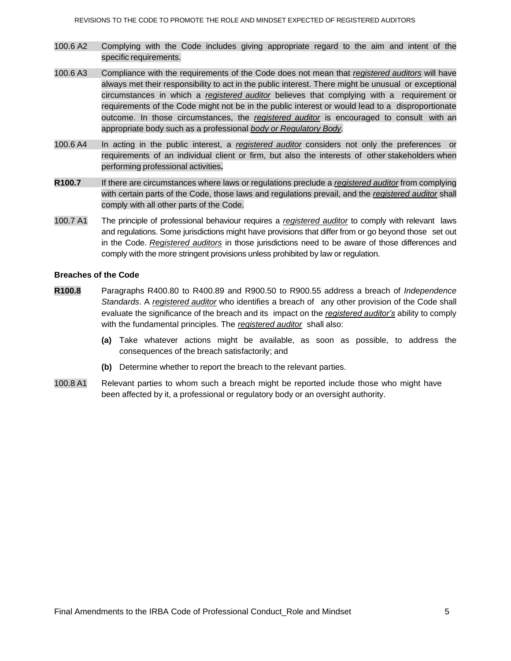- 100.6 A2 Complying with the Code includes giving appropriate regard to the aim and intent of the specific requirements.
- 100.6 A3 Compliance with the requirements of the Code does not mean that *registered auditors* will have always met their responsibility to act in the public interest. There might be unusual or exceptional circumstances in which a *registered auditor* believes that complying with a requirement or requirements of the Code might not be in the public interest or would lead to a disproportionate outcome. In those circumstances, the *registered auditor* is encouraged to consult with an appropriate body such as a professional *body or Regulatory Body*.
- 100.6 A4 In acting in the public interest, a *registered auditor* considers not only the preferences or requirements of an individual client or firm, but also the interests of other stakeholders when performing professional activities**.**
- **R100.7** If there are circumstances where laws or regulations preclude a *registered auditor* from complying with certain parts of the Code, those laws and regulations prevail, and the *registered auditor* shall comply with all other parts of the Code.
- 100.7 A1 The principle of professional behaviour requires a *registered auditor* to comply with relevant laws and regulations. Some jurisdictions might have provisions that differ from or go beyond those set out in the Code. *Registered auditors* in those jurisdictions need to be aware of those differences and comply with the more stringent provisions unless prohibited by law or regulation.

#### **Breaches of the Code**

- **R100.8** Paragraphs R400.80 to R400.89 and R900.50 to R900.55 address a breach of *Independence Standards*. A *registered auditor* who identifies a breach of any other provision of the Code shall evaluate the significance of the breach and its impact on the *registered auditor's* ability to comply with the fundamental principles. The *registered auditor* shall also:
	- **(a)** Take whatever actions might be available, as soon as possible, to address the consequences of the breach satisfactorily; and
	- **(b)** Determine whether to report the breach to the relevant parties.
- 100.8 A1 Relevant parties to whom such a breach might be reported include those who might have been affected by it, a professional or regulatory body or an oversight authority.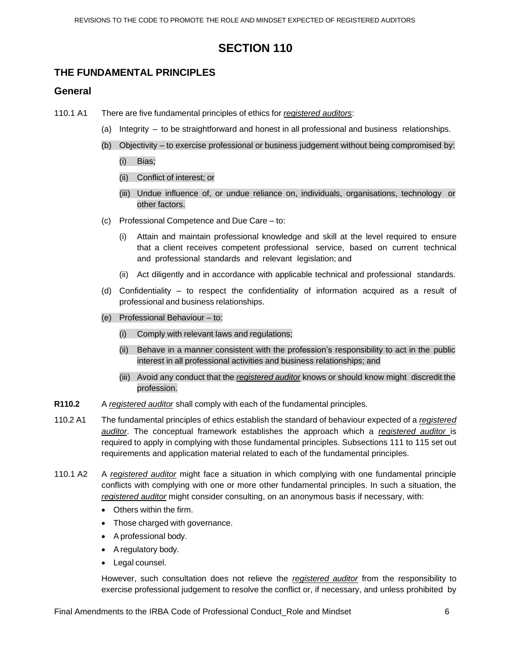# **SECTION 110**

## **THE FUNDAMENTAL PRINCIPLES**

### **General**

- 110.1 A1 There are five fundamental principles of ethics for *registered auditors*:
	- (a) Integrity to be straightforward and honest in all professional and business relationships.
	- (b) Objectivity to exercise professional or business judgement without being compromised by: (i) Bias;
		- (ii) Conflict of interest; or
		- (iii) Undue influence of, or undue reliance on, individuals, organisations, technology or other factors.
	- (c) Professional Competence and Due Care to:
		- (i) Attain and maintain professional knowledge and skill at the level required to ensure that a client receives competent professional service, based on current technical and professional standards and relevant legislation; and
		- (ii) Act diligently and in accordance with applicable technical and professional standards.
	- (d) Confidentiality to respect the confidentiality of information acquired as a result of professional and business relationships.
	- (e) Professional Behaviour to:
		- (i) Comply with relevant laws and regulations;
		- (ii) Behave in a manner consistent with the profession's responsibility to act in the public interest in all professional activities and business relationships; and
		- (iii) Avoid any conduct that the *registered auditor* knows or should know might discredit the profession.
- **R110.2** A *registered auditor* shall comply with each of the fundamental principles.
- 110.2 A1 The fundamental principles of ethics establish the standard of behaviour expected of a *registered auditor*. The conceptual framework establishes the approach which a *registered auditor* is required to apply in complying with those fundamental principles. Subsections 111 to 115 set out requirements and application material related to each of the fundamental principles.
- 110.1 A2 A *registered auditor* might face a situation in which complying with one fundamental principle conflicts with complying with one or more other fundamental principles. In such a situation, the *registered auditor* might consider consulting, on an anonymous basis if necessary, with:
	- Others within the firm.
	- Those charged with governance.
	- A professional body.
	- A regulatory body.
	- Legal counsel.

However, such consultation does not relieve the *registered auditor* from the responsibility to exercise professional judgement to resolve the conflict or, if necessary, and unless prohibited by

Final Amendments to the IRBA Code of Professional Conduct Role and Mindset 6 6 6 6 6 6 6 6 6 6 7 7 8 6 6 6 7 7 8 7 7 8 7 7 8 7 7 8 7 7 8 7 7 8 7 7 8 7 7 8 7 7 8 7 7 8 7 7 8 7 7 8 7 7 8 7 7 8 7 7 8 7 7 8 7 7 8 7 7 8 7 7 8 7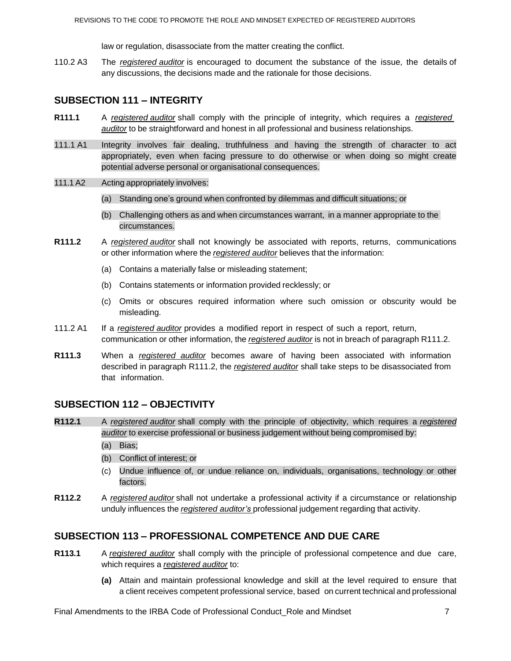law or regulation, disassociate from the matter creating the conflict.

110.2 A3 The *registered auditor* is encouraged to document the substance of the issue, the details of any discussions, the decisions made and the rationale for those decisions.

## **SUBSECTION 111 – INTEGRITY**

- **R111.1** A *registered auditor* shall comply with the principle of integrity, which requires a *registered auditor* to be straightforward and honest in all professional and business relationships.
- 111.1 A1 Integrity involves fair dealing, truthfulness and having the strength of character to act appropriately, even when facing pressure to do otherwise or when doing so might create potential adverse personal or organisational consequences.

#### 111.1 A2 Acting appropriately involves:

- (a) Standing one's ground when confronted by dilemmas and difficult situations; or
- (b) Challenging others as and when circumstances warrant, in a manner appropriate to the circumstances.
- **R111.2** A *registered auditor* shall not knowingly be associated with reports, returns, communications or other information where the *registered auditor* believes that the information:
	- (a) Contains a materially false or misleading statement;
	- (b) Contains statements or information provided recklessly; or
	- (c) Omits or obscures required information where such omission or obscurity would be misleading.
- 111.2 A1 If a *registered auditor* provides a modified report in respect of such a report, return, communication or other information, the *registered auditor* is not in breach of paragraph R111.2.
- **R111.3** When a *registered auditor* becomes aware of having been associated with information described in paragraph R111.2, the *registered auditor* shall take steps to be disassociated from that information.

## **SUBSECTION 112 – OBJECTIVITY**

- **R112.1** A *registered auditor* shall comply with the principle of objectivity, which requires a *registered auditor* to exercise professional or business judgement without being compromised by:
	- (a) Bias;
	- (b) Conflict of interest; or
	- (c) Undue influence of, or undue reliance on, individuals, organisations, technology or other factors.
- **R112.2** A *registered auditor* shall not undertake a professional activity if a circumstance or relationship unduly influences the *registered auditor's* professional judgement regarding that activity.

## **SUBSECTION 113 – PROFESSIONAL COMPETENCE AND DUE CARE**

- **R113.1** A *registered auditor* shall comply with the principle of professional competence and due care, which requires a *registered auditor* to:
	- **(a)** Attain and maintain professional knowledge and skill at the level required to ensure that a client receives competent professional service, based on current technical and professional

Final Amendments to the IRBA Code of Professional Conduct Role and Mindset 7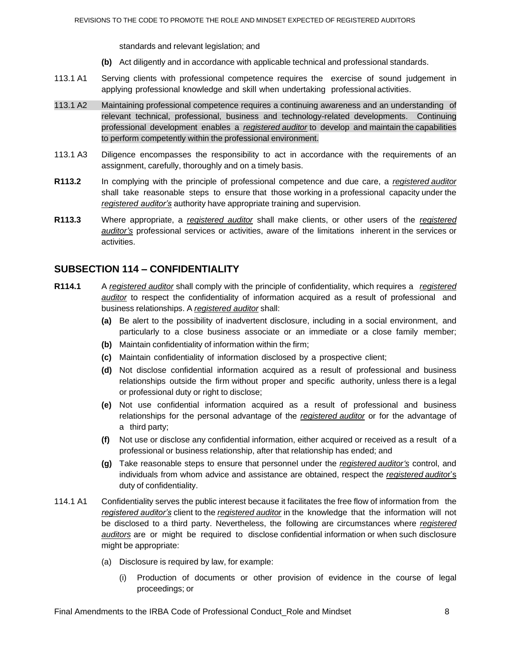standards and relevant legislation; and

- **(b)** Act diligently and in accordance with applicable technical and professional standards.
- 113.1 A1 Serving clients with professional competence requires the exercise of sound judgement in applying professional knowledge and skill when undertaking professional activities.
- 113.1 A2 Maintaining professional competence requires a continuing awareness and an understanding of relevant technical, professional, business and technology-related developments. Continuing professional development enables a *registered auditor* to develop and maintain the capabilities to perform competently within the professional environment.
- 113.1 A3 Diligence encompasses the responsibility to act in accordance with the requirements of an assignment, carefully, thoroughly and on a timely basis.
- **R113.2** In complying with the principle of professional competence and due care, a *registered auditor* shall take reasonable steps to ensure that those working in a professional capacity under the *registered auditor's* authority have appropriate training and supervision.
- **R113.3** Where appropriate, a *registered auditor* shall make clients, or other users of the *registered auditor's* professional services or activities, aware of the limitations inherent in the services or activities.

## **SUBSECTION 114 – CONFIDENTIALITY**

- **R114.1** A *registered auditor* shall comply with the principle of confidentiality, which requires a *registered auditor* to respect the confidentiality of information acquired as a result of professional and business relationships. A *registered auditor* shall:
	- **(a)** Be alert to the possibility of inadvertent disclosure, including in a social environment, and particularly to a close business associate or an immediate or a close family member;
	- **(b)** Maintain confidentiality of information within the firm;
	- **(c)** Maintain confidentiality of information disclosed by a prospective client;
	- **(d)** Not disclose confidential information acquired as a result of professional and business relationships outside the firm without proper and specific authority, unless there is a legal or professional duty or right to disclose;
	- **(e)** Not use confidential information acquired as a result of professional and business relationships for the personal advantage of the *registered auditor* or for the advantage of a third party;
	- **(f)** Not use or disclose any confidential information, either acquired or received as a result of a professional or business relationship, after that relationship has ended; and
	- **(g)** Take reasonable steps to ensure that personnel under the *registered auditor's* control, and individuals from whom advice and assistance are obtained, respect the *registered audito*r's duty of confidentiality.
- 114.1 A1 Confidentiality serves the public interest because it facilitates the free flow of information from the *registered auditor's* client to the *registered auditor* in the knowledge that the information will not be disclosed to a third party. Nevertheless, the following are circumstances where *registered auditors* are or might be required to disclose confidential information or when such disclosure might be appropriate:
	- (a) Disclosure is required by law, for example:
		- (i) Production of documents or other provision of evidence in the course of legal proceedings; or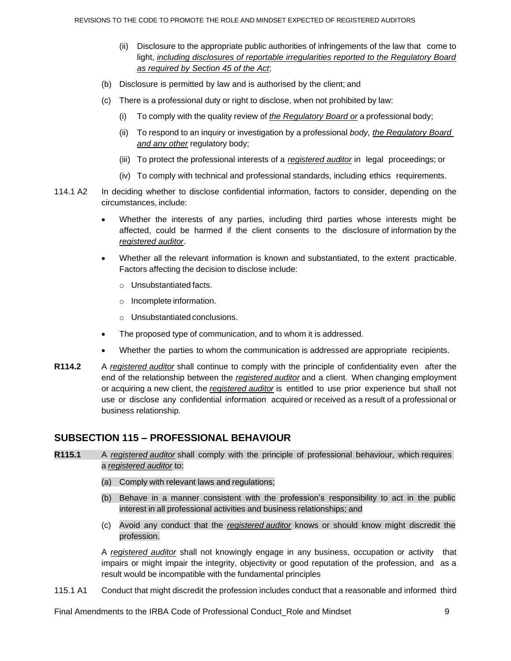- (ii) Disclosure to the appropriate public authorities of infringements of the law that come to light, *including disclosures of reportable irregularities reported to the Regulatory Board as required by Section 45 of the Act*;
- (b) Disclosure is permitted by law and is authorised by the client; and
- (c) There is a professional duty or right to disclose, when not prohibited by law:
	- (i) To comply with the quality review of *the Regulatory Board or* a professional body;
	- (ii) To respond to an inquiry or investigation by a professional *body, the Regulatory Board and any other* regulatory body;
	- (iii) To protect the professional interests of a *registered auditor* in legal proceedings; or
	- (iv) To comply with technical and professional standards, including ethics requirements.
- 114.1 A2 In deciding whether to disclose confidential information, factors to consider, depending on the circumstances, include:
	- Whether the interests of any parties, including third parties whose interests might be affected, could be harmed if the client consents to the disclosure of information by the *registered auditor*.
	- Whether all the relevant information is known and substantiated, to the extent practicable. Factors affecting the decision to disclose include:
		- o Unsubstantiated facts.
		- o Incomplete information.
		- o Unsubstantiated conclusions.
	- The proposed type of communication, and to whom it is addressed.
	- Whether the parties to whom the communication is addressed are appropriate recipients.
- **R114.2** A *registered auditor* shall continue to comply with the principle of confidentiality even after the end of the relationship between the *registered auditor* and a client. When changing employment or acquiring a new client, the *registered auditor* is entitled to use prior experience but shall not use or disclose any confidential information acquired or received as a result of a professional or business relationship.

### **SUBSECTION 115 – PROFESSIONAL BEHAVIOUR**

- **R115.1** A *registered auditor* shall comply with the principle of professional behaviour, which requires a *registered auditor* to:
	- (a) Comply with relevant laws and regulations;
	- (b) Behave in a manner consistent with the profession's responsibility to act in the public interest in all professional activities and business relationships; and
	- (c) Avoid any conduct that the *registered auditor* knows or should know might discredit the profession.

A *registered auditor* shall not knowingly engage in any business, occupation or activity that impairs or might impair the integrity, objectivity or good reputation of the profession, and as a result would be incompatible with the fundamental principles

115.1 A1 Conduct that might discredit the profession includes conduct that a reasonable and informed third

Final Amendments to the IRBA Code of Professional Conduct Role and Mindset  $9$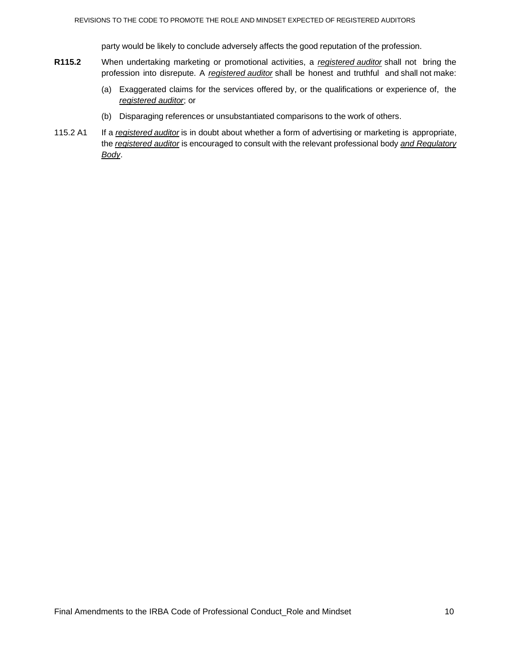party would be likely to conclude adversely affects the good reputation of the profession.

- **R115.2** When undertaking marketing or promotional activities, a *registered auditor* shall not bring the profession into disrepute. A *registered auditor* shall be honest and truthful and shall not make:
	- (a) Exaggerated claims for the services offered by, or the qualifications or experience of, the *registered auditor*; or
	- (b) Disparaging references or unsubstantiated comparisons to the work of others.
- 115.2 A1 If a *registered auditor* is in doubt about whether a form of advertising or marketing is appropriate, the *registered auditor* is encouraged to consult with the relevant professional body *and Regulatory Body*.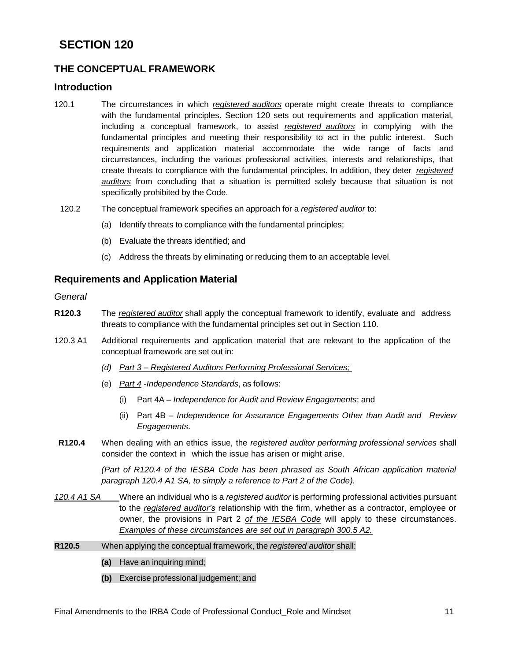# **SECTION 120**

# **THE CONCEPTUAL FRAMEWORK**

### **Introduction**

- 120.1 The circumstances in which *registered auditors* operate might create threats to compliance with the fundamental principles. Section 120 sets out requirements and application material, including a conceptual framework, to assist *registered auditors* in complying with the fundamental principles and meeting their responsibility to act in the public interest. Such requirements and application material accommodate the wide range of facts and circumstances, including the various professional activities, interests and relationships, that create threats to compliance with the fundamental principles. In addition, they deter *registered auditors* from concluding that a situation is permitted solely because that situation is not specifically prohibited by the Code.
- 120.2 The conceptual framework specifies an approach for a *registered auditor* to:
	- (a) Identify threats to compliance with the fundamental principles;
	- (b) Evaluate the threats identified; and
	- (c) Address the threats by eliminating or reducing them to an acceptable level.

## **Requirements and Application Material**

*General*

- **R120.3** The *registered auditor* shall apply the conceptual framework to identify, evaluate and address threats to compliance with the fundamental principles set out in Section 110.
- 120.3 A1 Additional requirements and application material that are relevant to the application of the conceptual framework are set out in:
	- *(d) Part 3 – Registered Auditors Performing Professional Services;*
	- (e) *Part 4 -Independence Standards*, as follows:
		- (i) Part 4A *Independence for Audit and Review Engagements*; and
		- (ii) Part 4B *Independence for Assurance Engagements Other than Audit and Review Engagements*.
- **R120.4** When dealing with an ethics issue, the *registered auditor performing professional services* shall consider the context in which the issue has arisen or might arise.

*(Part of R120.4 of the IESBA Code has been phrased as South African application material paragraph 120.4 A1 SA, to simply a reference to Part 2 of the Code).*

- *120.4 A1 SA* Where an individual who is a *registered auditor* is performing professional activities pursuant to the *registered auditor's* relationship with the firm, whether as a contractor, employee or owner, the provisions in Part 2 *of the IESBA Code* will apply to these circumstances. *Examples of these circumstances are set out in paragraph 300.5 A2.*
- **R120.5** When applying the conceptual framework, the *registered auditor* shall:
	- **(a)** Have an inquiring mind;
	- **(b)** Exercise professional judgement; and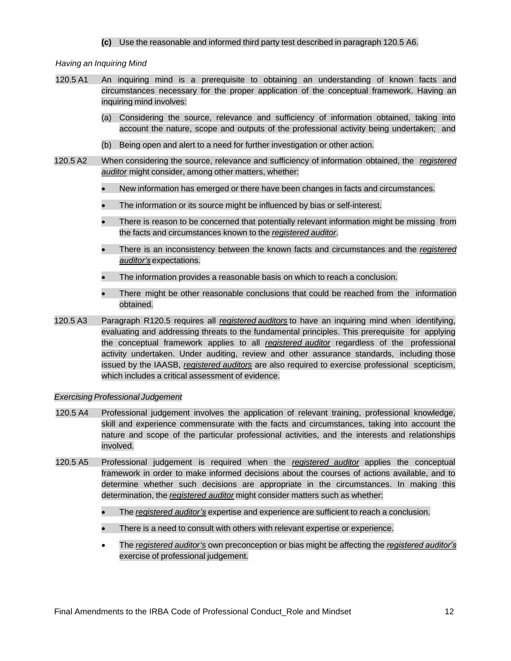#### **(c)** Use the reasonable and informed third party test described in paragraph 120.5 A6.

#### *Having an Inquiring Mind*

- 120.5 A1 An inquiring mind is a prerequisite to obtaining an understanding of known facts and circumstances necessary for the proper application of the conceptual framework. Having an inquiring mind involves:
	- (a) Considering the source, relevance and sufficiency of information obtained, taking into account the nature, scope and outputs of the professional activity being undertaken; and
	- (b) Being open and alert to a need for further investigation or other action.
- 120.5 A2 When considering the source, relevance and sufficiency of information obtained, the *registered auditor* might consider, among other matters, whether:
	- New information has emerged or there have been changes in facts and circumstances.
	- The information or its source might be influenced by bias or self-interest.
	- There is reason to be concerned that potentially relevant information might be missing from the facts and circumstances known to the *registered auditor*.
	- There is an inconsistency between the known facts and circumstances and the *registered auditor's* expectations.
	- The information provides a reasonable basis on which to reach a conclusion.
	- There might be other reasonable conclusions that could be reached from the information obtained.
- 120.5 A3 Paragraph R120.5 requires all *registered auditors* to have an inquiring mind when identifying, evaluating and addressing threats to the fundamental principles. This prerequisite for applying the conceptual framework applies to all *registered auditor* regardless of the professional activity undertaken. Under auditing, review and other assurance standards, including those issued by the IAASB, *registered auditors* are also required to exercise professional scepticism, which includes a critical assessment of evidence.

#### *Exercising Professional Judgement*

- 120.5 A4 Professional judgement involves the application of relevant training, professional knowledge, skill and experience commensurate with the facts and circumstances, taking into account the nature and scope of the particular professional activities, and the interests and relationships involved.
- 120.5 A5 Professional judgement is required when the *registered auditor* applies the conceptual framework in order to make informed decisions about the courses of actions available, and to determine whether such decisions are appropriate in the circumstances. In making this determination, the *registered auditor* might consider matters such as whether:
	- The *registered auditor's* expertise and experience are sufficient to reach a conclusion.
	- There is a need to consult with others with relevant expertise or experience.
	- The *registered auditor's* own preconception or bias might be affecting the *registered auditor's*  exercise of professional judgement.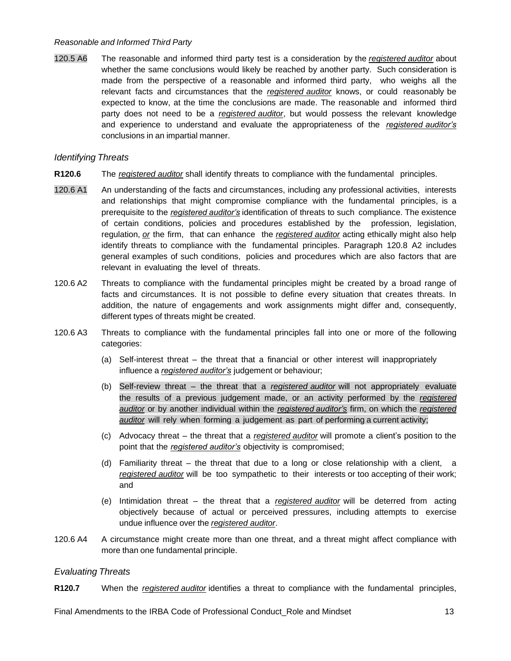#### *Reasonable and Informed Third Party*

120.5 A6 The reasonable and informed third party test is a consideration by the *registered auditor* about whether the same conclusions would likely be reached by another party. Such consideration is made from the perspective of a reasonable and informed third party, who weighs all the relevant facts and circumstances that the *registered auditor* knows, or could reasonably be expected to know, at the time the conclusions are made. The reasonable and informed third party does not need to be a *registered auditor*, but would possess the relevant knowledge and experience to understand and evaluate the appropriateness of the *registered auditor's* conclusions in an impartial manner.

#### *Identifying Threats*

- **R120.6** The *registered auditor* shall identify threats to compliance with the fundamental principles.
- 120.6 A1 An understanding of the facts and circumstances, including any professional activities, interests and relationships that might compromise compliance with the fundamental principles, is a prerequisite to the *registered auditor's* identification of threats to such compliance. The existence of certain conditions, policies and procedures established by the profession, legislation, regulation, *or* the firm, that can enhance the *registered auditor* acting ethically might also help identify threats to compliance with the fundamental principles. Paragraph 120.8 A2 includes general examples of such conditions, policies and procedures which are also factors that are relevant in evaluating the level of threats.
- 120.6 A2 Threats to compliance with the fundamental principles might be created by a broad range of facts and circumstances. It is not possible to define every situation that creates threats. In addition, the nature of engagements and work assignments might differ and, consequently, different types of threats might be created.
- 120.6 A3 Threats to compliance with the fundamental principles fall into one or more of the following categories:
	- (a) Self-interest threat the threat that a financial or other interest will inappropriately influence a *registered auditor's* judgement or behaviour;
	- (b) Self-review threat the threat that a *registered auditor* will not appropriately evaluate the results of a previous judgement made, or an activity performed by the *registered auditor* or by another individual within the *registered auditor's* firm, on which the *registered auditor* will rely when forming a judgement as part of performing a current activity;
	- (c) Advocacy threat the threat that a *registered auditor* will promote a client's position to the point that the *registered auditor's* objectivity is compromised;
	- (d) Familiarity threat the threat that due to a long or close relationship with a client, a *registered auditor* will be too sympathetic to their interests or too accepting of their work; and
	- (e) Intimidation threat the threat that a *registered auditor* will be deterred from acting objectively because of actual or perceived pressures, including attempts to exercise undue influence over the *registered auditor*.
- 120.6 A4 A circumstance might create more than one threat, and a threat might affect compliance with more than one fundamental principle.

#### *Evaluating Threats*

**R120.7** When the *registered auditor* identifies a threat to compliance with the fundamental principles,

Final Amendments to the IRBA Code of Professional Conduct\_Role and Mindset 13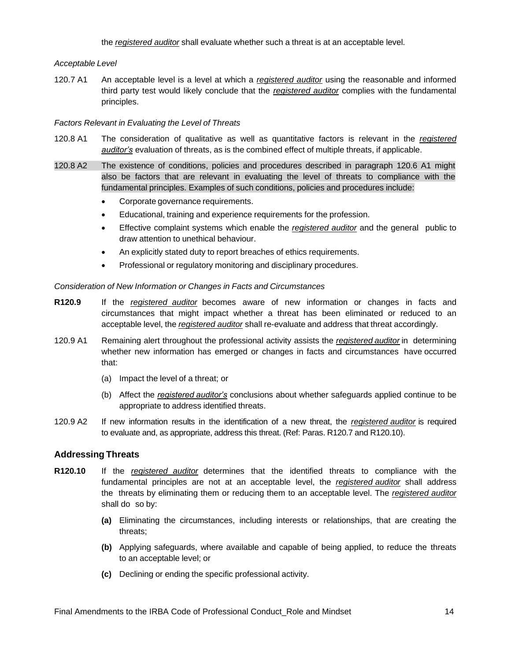the *registered auditor* shall evaluate whether such a threat is at an acceptable level.

#### *Acceptable Level*

120.7 A1 An acceptable level is a level at which a *registered auditor* using the reasonable and informed third party test would likely conclude that the *registered auditor* complies with the fundamental principles.

#### *Factors Relevant in Evaluating the Level of Threats*

- 120.8 A1 The consideration of qualitative as well as quantitative factors is relevant in the *registered auditor's* evaluation of threats, as is the combined effect of multiple threats, if applicable.
- 120.8 A2 The existence of conditions, policies and procedures described in paragraph 120.6 A1 might also be factors that are relevant in evaluating the level of threats to compliance with the fundamental principles. Examples of such conditions, policies and procedures include:
	- Corporate governance requirements.
	- Educational, training and experience requirements for the profession.
	- Effective complaint systems which enable the *registered auditor* and the general public to draw attention to unethical behaviour.
	- An explicitly stated duty to report breaches of ethics requirements.
	- Professional or regulatory monitoring and disciplinary procedures.

#### *Consideration of New Information or Changes in Facts and Circumstances*

- **R120.9** If the *registered auditor* becomes aware of new information or changes in facts and circumstances that might impact whether a threat has been eliminated or reduced to an acceptable level, the *registered auditor* shall re-evaluate and address that threat accordingly.
- 120.9 A1 Remaining alert throughout the professional activity assists the *registered auditor* in determining whether new information has emerged or changes in facts and circumstances have occurred that:
	- (a) Impact the level of a threat; or
	- (b) Affect the *registered auditor's* conclusions about whether safeguards applied continue to be appropriate to address identified threats.
- 120.9 A2 If new information results in the identification of a new threat, the *registered auditor* is required to evaluate and, as appropriate, address this threat. (Ref: Paras. R120.7 and R120.10).

#### **Addressing Threats**

- **R120.10** If the *registered auditor* determines that the identified threats to compliance with the fundamental principles are not at an acceptable level, the *registered auditor* shall address the threats by eliminating them or reducing them to an acceptable level. The *registered auditor* shall do so by:
	- **(a)** Eliminating the circumstances, including interests or relationships, that are creating the threats;
	- **(b)** Applying safeguards, where available and capable of being applied, to reduce the threats to an acceptable level; or
	- **(c)** Declining or ending the specific professional activity.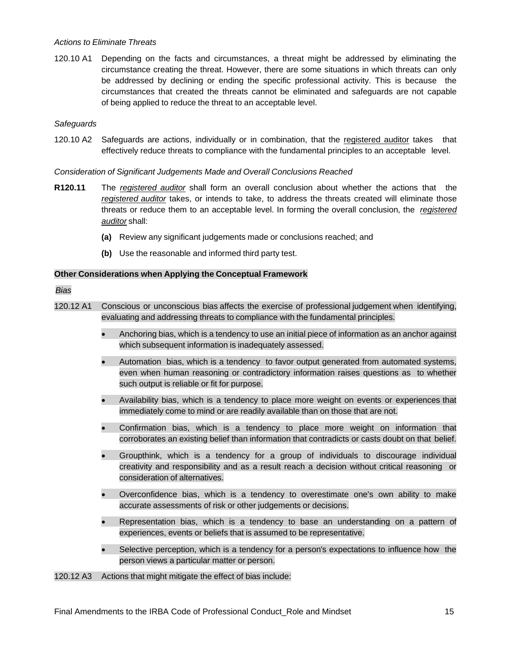#### *Actions to Eliminate Threats*

120.10 A1 Depending on the facts and circumstances, a threat might be addressed by eliminating the circumstance creating the threat. However, there are some situations in which threats can only be addressed by declining or ending the specific professional activity. This is because the circumstances that created the threats cannot be eliminated and safeguards are not capable of being applied to reduce the threat to an acceptable level.

#### *Safeguards*

120.10 A2 Safeguards are actions, individually or in combination, that the registered auditor takes that effectively reduce threats to compliance with the fundamental principles to an acceptable level.

#### *Consideration of Significant Judgements Made and Overall Conclusions Reached*

- **R120.11** The *registered auditor* shall form an overall conclusion about whether the actions that the *registered auditor* takes, or intends to take, to address the threats created will eliminate those threats or reduce them to an acceptable level. In forming the overall conclusion, the *registered auditor* shall:
	- **(a)** Review any significant judgements made or conclusions reached; and
	- **(b)** Use the reasonable and informed third party test.

#### **Other Considerations when Applying the Conceptual Framework**

#### *Bias*

- 120.12 A1 Conscious or unconscious bias affects the exercise of professional judgement when identifying, evaluating and addressing threats to compliance with the fundamental principles.
	- Anchoring bias, which is a tendency to use an initial piece of information as an anchor against which subsequent information is inadequately assessed.
	- Automation bias, which is a tendency to favor output generated from automated systems, even when human reasoning or contradictory information raises questions as to whether such output is reliable or fit for purpose.
	- Availability bias, which is a tendency to place more weight on events or experiences that immediately come to mind or are readily available than on those that are not.
	- Confirmation bias, which is a tendency to place more weight on information that corroborates an existing belief than information that contradicts or casts doubt on that belief.
	- Groupthink, which is a tendency for a group of individuals to discourage individual creativity and responsibility and as a result reach a decision without critical reasoning or consideration of alternatives.
	- Overconfidence bias, which is a tendency to overestimate one's own ability to make accurate assessments of risk or other judgements or decisions.
	- Representation bias, which is a tendency to base an understanding on a pattern of experiences, events or beliefs that is assumed to be representative.
	- Selective perception, which is a tendency for a person's expectations to influence how the person views a particular matter or person.

120.12 A3 Actions that might mitigate the effect of bias include: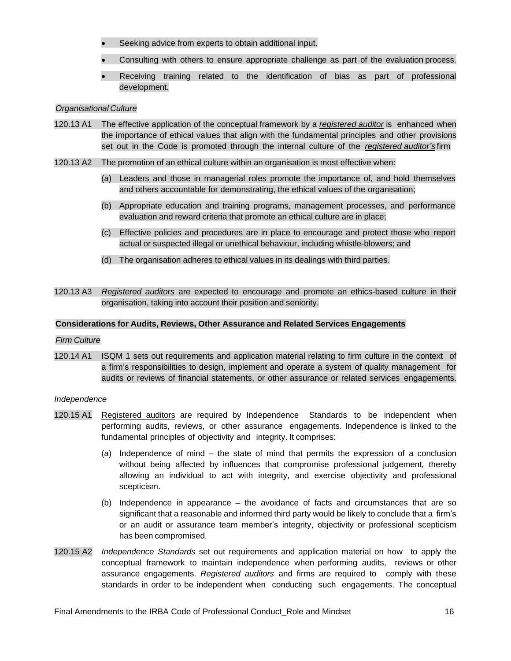- Seeking advice from experts to obtain additional input.
- Consulting with others to ensure appropriate challenge as part of the evaluation process.
- Receiving training related to the identification of bias as part of professional development.

#### *Organisational Culture*

- 120.13 A1 The effective application of the conceptual framework by a *registered auditor* is enhanced when the importance of ethical values that align with the fundamental principles and other provisions set out in the Code is promoted through the internal culture of the *registered auditor's* firm
- 120.13 A2 The promotion of an ethical culture within an organisation is most effective when:
	- (a) Leaders and those in managerial roles promote the importance of, and hold themselves and others accountable for demonstrating, the ethical values of the organisation;
	- (b) Appropriate education and training programs, management processes, and performance evaluation and reward criteria that promote an ethical culture are in place;
	- (c) Effective policies and procedures are in place to encourage and protect those who report actual or suspected illegal or unethical behaviour, including whistle-blowers; and
	- (d) The organisation adheres to ethical values in its dealings with third parties.
- 120.13 A3 *Registered auditors* are expected to encourage and promote an ethics-based culture in their organisation, taking into account their position and seniority.

#### **Considerations for Audits, Reviews, Other Assurance and Related Services Engagements**

#### *Firm Culture*

120.14 A1 ISQM 1 sets out requirements and application material relating to firm culture in the context of a firm's responsibilities to design, implement and operate a system of quality management for audits or reviews of financial statements, or other assurance or related services engagements.

#### *Independence*

- 120.15 A1 Registered auditors are required by Independence Standards to be independent when performing audits, reviews, or other assurance engagements. Independence is linked to the fundamental principles of objectivity and integrity. It comprises:
	- (a) Independence of mind the state of mind that permits the expression of a conclusion without being affected by influences that compromise professional judgement, thereby allowing an individual to act with integrity, and exercise objectivity and professional scepticism.
	- (b) Independence in appearance the avoidance of facts and circumstances that are so significant that a reasonable and informed third party would be likely to conclude that a firm's or an audit or assurance team member's integrity, objectivity or professional scepticism has been compromised.
- 120.15 A2 *Independence Standards* set out requirements and application material on how to apply the conceptual framework to maintain independence when performing audits, reviews or other assurance engagements. *Registered auditors* and firms are required to comply with these standards in order to be independent when conducting such engagements. The conceptual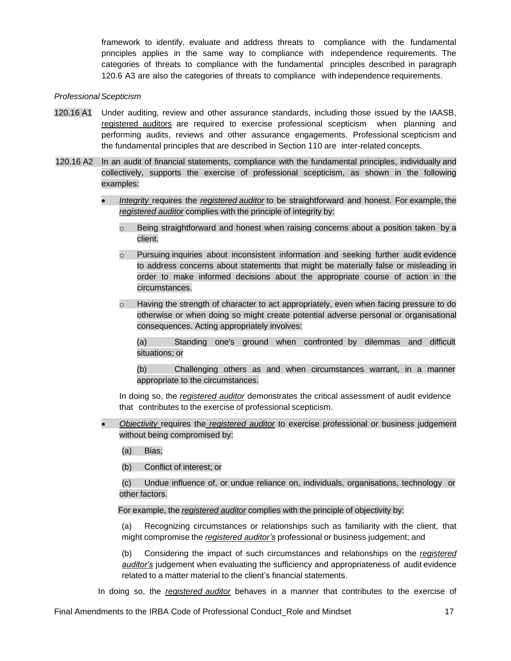framework to identify, evaluate and address threats to compliance with the fundamental principles applies in the same way to compliance with independence requirements. The categories of threats to compliance with the fundamental principles described in paragraph 120.6 A3 are also the categories of threats to compliance with independence requirements.

#### *Professional Scepticism*

- 120.16 A1 Under auditing, review and other assurance standards, including those issued by the IAASB, registered auditors are required to exercise professional scepticism when planning and performing audits, reviews and other assurance engagements. Professional scepticism and the fundamental principles that are described in Section 110 are inter-related concepts.
- 120.16 A2 In an audit of financial statements, compliance with the fundamental principles, individually and collectively, supports the exercise of professional scepticism, as shown in the following examples:
	- *Integrity* requires the *registered auditor* to be straightforward and honest. For example, the *registered auditor* complies with the principle of integrity by:
		- $\circ$  Being straightforward and honest when raising concerns about a position taken by a client.
		- Pursuing inquiries about inconsistent information and seeking further audit evidence to address concerns about statements that might be materially false or misleading in order to make informed decisions about the appropriate course of action in the circumstances.
		- $\circ$  Having the strength of character to act appropriately, even when facing pressure to do otherwise or when doing so might create potential adverse personal or organisational consequences. Acting appropriately involves:

(a) Standing one's ground when confronted by dilemmas and difficult situations; or

(b) Challenging others as and when circumstances warrant, in a manner appropriate to the circumstances.

In doing so, the *registered auditor* demonstrates the critical assessment of audit evidence that contributes to the exercise of professional scepticism.

• *Objectivity* requires the *registered auditor* to exercise professional or business judgement without being compromised by:

(a) Bias;

(b) Conflict of interest; or

(c) Undue influence of, or undue reliance on, individuals, organisations, technology or other factors.

For example, the *registered auditor* complies with the principle of objectivity by:

(a) Recognizing circumstances or relationships such as familiarity with the client, that might compromise the *registered auditor's* professional or business judgement; and

(b) Considering the impact of such circumstances and relationships on the *registered auditor's* judgement when evaluating the sufficiency and appropriateness of audit evidence related to a matter material to the client's financial statements.

In doing so, the *registered auditor* behaves in a manner that contributes to the exercise of

Final Amendments to the IRBA Code of Professional Conduct\_Role and Mindset 17